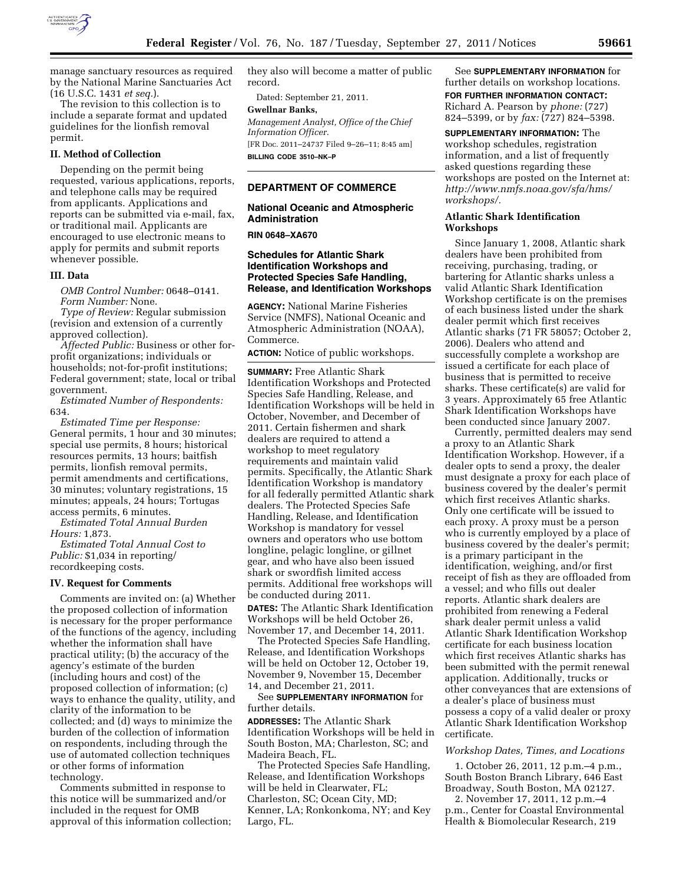

manage sanctuary resources as required by the National Marine Sanctuaries Act (16 U.S.C. 1431 *et seq.*).

The revision to this collection is to include a separate format and updated guidelines for the lionfish removal permit.

## **II. Method of Collection**

Depending on the permit being requested, various applications, reports, and telephone calls may be required from applicants. Applications and reports can be submitted via e-mail, fax, or traditional mail. Applicants are encouraged to use electronic means to apply for permits and submit reports whenever possible.

## **III. Data**

*OMB Control Number:* 0648–0141. *Form Number:* None.

*Type of Review:* Regular submission (revision and extension of a currently approved collection).

*Affected Public:* Business or other forprofit organizations; individuals or households; not-for-profit institutions; Federal government; state, local or tribal government.

*Estimated Number of Respondents:*  634.

*Estimated Time per Response:*  General permits, 1 hour and 30 minutes; special use permits, 8 hours; historical resources permits, 13 hours; baitfish permits, lionfish removal permits, permit amendments and certifications, 30 minutes; voluntary registrations, 15 minutes; appeals, 24 hours; Tortugas access permits, 6 minutes.

*Estimated Total Annual Burden Hours:* 1,873.

*Estimated Total Annual Cost to Public:* \$1,034 in reporting/ recordkeeping costs.

### **IV. Request for Comments**

Comments are invited on: (a) Whether the proposed collection of information is necessary for the proper performance of the functions of the agency, including whether the information shall have practical utility; (b) the accuracy of the agency's estimate of the burden (including hours and cost) of the proposed collection of information; (c) ways to enhance the quality, utility, and clarity of the information to be collected; and (d) ways to minimize the burden of the collection of information on respondents, including through the use of automated collection techniques or other forms of information technology.

Comments submitted in response to this notice will be summarized and/or included in the request for OMB approval of this information collection; they also will become a matter of public record.

Dated: September 21, 2011.

## **Gwellnar Banks,**

*Management Analyst, Office of the Chief Information Officer.*  [FR Doc. 2011–24737 Filed 9–26–11; 8:45 am]

**BILLING CODE 3510–NK–P** 

## **DEPARTMENT OF COMMERCE**

**National Oceanic and Atmospheric Administration** 

**RIN 0648–XA670** 

# **Schedules for Atlantic Shark Identification Workshops and Protected Species Safe Handling, Release, and Identification Workshops**

**AGENCY:** National Marine Fisheries Service (NMFS), National Oceanic and Atmospheric Administration (NOAA), Commerce.

**ACTION:** Notice of public workshops.

**SUMMARY:** Free Atlantic Shark Identification Workshops and Protected Species Safe Handling, Release, and Identification Workshops will be held in October, November, and December of 2011. Certain fishermen and shark dealers are required to attend a workshop to meet regulatory requirements and maintain valid permits. Specifically, the Atlantic Shark Identification Workshop is mandatory for all federally permitted Atlantic shark dealers. The Protected Species Safe Handling, Release, and Identification Workshop is mandatory for vessel owners and operators who use bottom longline, pelagic longline, or gillnet gear, and who have also been issued shark or swordfish limited access permits. Additional free workshops will be conducted during 2011. **DATES:** The Atlantic Shark Identification

Workshops will be held October 26, November 17, and December 14, 2011.

The Protected Species Safe Handling, Release, and Identification Workshops will be held on October 12, October 19, November 9, November 15, December 14, and December 21, 2011.

See **SUPPLEMENTARY INFORMATION** for further details.

**ADDRESSES:** The Atlantic Shark Identification Workshops will be held in South Boston, MA; Charleston, SC; and Madeira Beach, FL.

The Protected Species Safe Handling, Release, and Identification Workshops will be held in Clearwater, FL; Charleston, SC; Ocean City, MD; Kenner, LA; Ronkonkoma, NY; and Key Largo, FL.

See **SUPPLEMENTARY INFORMATION** for further details on workshop locations. **FOR FURTHER INFORMATION CONTACT:**  Richard A. Pearson by *phone:* (727) 824–5399, or by *fax:* (727) 824–5398.

**SUPPLEMENTARY INFORMATION:** The workshop schedules, registration information, and a list of frequently asked questions regarding these workshops are posted on the Internet at: *[http://www.nmfs.noaa.gov/sfa/hms/](http://www.nmfs.noaa.gov/sfa/hms/workshops/)  [workshops/.](http://www.nmfs.noaa.gov/sfa/hms/workshops/)* 

## **Atlantic Shark Identification Workshops**

Since January 1, 2008, Atlantic shark dealers have been prohibited from receiving, purchasing, trading, or bartering for Atlantic sharks unless a valid Atlantic Shark Identification Workshop certificate is on the premises of each business listed under the shark dealer permit which first receives Atlantic sharks (71 FR 58057; October 2, 2006). Dealers who attend and successfully complete a workshop are issued a certificate for each place of business that is permitted to receive sharks. These certificate(s) are valid for 3 years. Approximately 65 free Atlantic Shark Identification Workshops have been conducted since January 2007.

Currently, permitted dealers may send a proxy to an Atlantic Shark Identification Workshop. However, if a dealer opts to send a proxy, the dealer must designate a proxy for each place of business covered by the dealer's permit which first receives Atlantic sharks. Only one certificate will be issued to each proxy. A proxy must be a person who is currently employed by a place of business covered by the dealer's permit; is a primary participant in the identification, weighing, and/or first receipt of fish as they are offloaded from a vessel; and who fills out dealer reports. Atlantic shark dealers are prohibited from renewing a Federal shark dealer permit unless a valid Atlantic Shark Identification Workshop certificate for each business location which first receives Atlantic sharks has been submitted with the permit renewal application. Additionally, trucks or other conveyances that are extensions of a dealer's place of business must possess a copy of a valid dealer or proxy Atlantic Shark Identification Workshop certificate.

#### *Workshop Dates, Times, and Locations*

1. October 26, 2011, 12 p.m.–4 p.m., South Boston Branch Library, 646 East Broadway, South Boston, MA 02127.

2. November 17, 2011, 12 p.m.–4 p.m., Center for Coastal Environmental Health & Biomolecular Research, 219